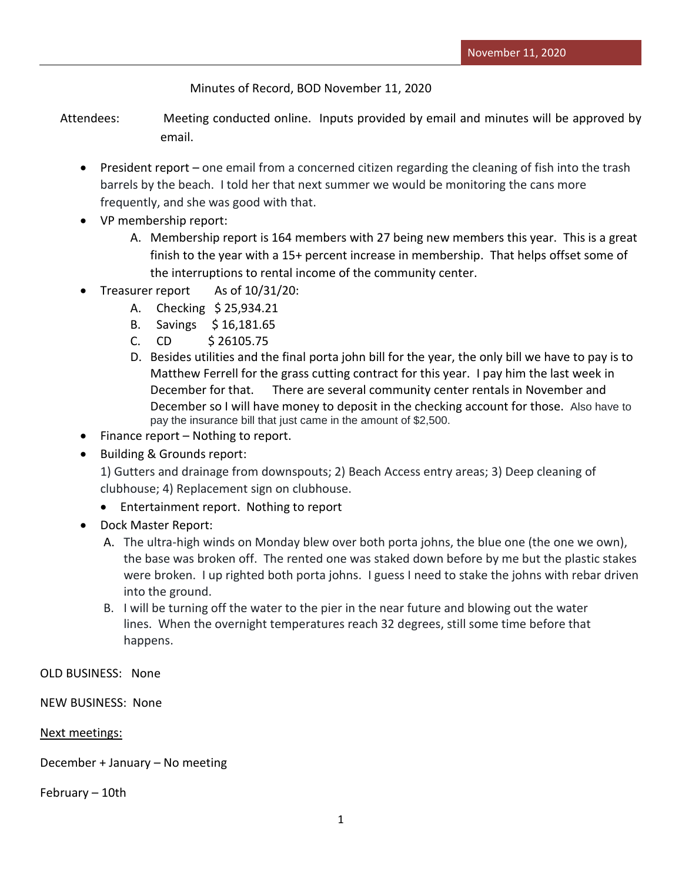Minutes of Record, BOD November 11, 2020

Attendees: Meeting conducted online. Inputs provided by email and minutes will be approved by email.

- President report one email from a concerned citizen regarding the cleaning of fish into the trash barrels by the beach. I told her that next summer we would be monitoring the cans more frequently, and she was good with that.
- VP membership report:
	- A. Membership report is 164 members with 27 being new members this year. This is a great finish to the year with a 15+ percent increase in membership. That helps offset some of the interruptions to rental income of the community center.
- Treasurer report As of 10/31/20:
	- A. Checking \$ 25,934.21
	- B. Savings \$ 16,181.65
	- C. CD \$ 26105.75
	- D. Besides utilities and the final porta john bill for the year, the only bill we have to pay is to Matthew Ferrell for the grass cutting contract for this year. I pay him the last week in December for that. There are several community center rentals in November and December so I will have money to deposit in the checking account for those. Also have to pay the insurance bill that just came in the amount of \$2,500.
- $\bullet$  Finance report Nothing to report.
- Building & Grounds report:

1) Gutters and drainage from downspouts; 2) Beach Access entry areas; 3) Deep cleaning of clubhouse; 4) Replacement sign on clubhouse.

- Entertainment report. Nothing to report
- Dock Master Report:
	- A. The ultra-high winds on Monday blew over both porta johns, the blue one (the one we own), the base was broken off. The rented one was staked down before by me but the plastic stakes were broken. I up righted both porta johns. I guess I need to stake the johns with rebar driven into the ground.
	- B. I will be turning off the water to the pier in the near future and blowing out the water lines. When the overnight temperatures reach 32 degrees, still some time before that happens.

OLD BUSINESS: None

NEW BUSINESS: None

## Next meetings:

December + January – No meeting

February – 10th